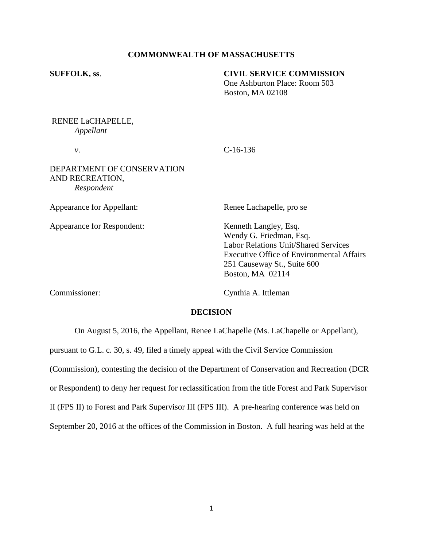# **COMMONWEALTH OF MASSACHUSETTS**

## **SUFFOLK, ss**. **CIVIL SERVICE COMMISSION**

One Ashburton Place: Room 503 Boston, MA 02108

# RENEE LaCHAPELLE, *Appellant*

*v*. C-16-136

# DEPARTMENT OF CONSERVATION AND RECREATION, *Respondent*

Appearance for Appellant: Renee Lachapelle, pro se

Appearance for Respondent: Kenneth Langley, Esq.

Wendy G. Friedman, Esq. Labor Relations Unit/Shared Services Executive Office of Environmental Affairs 251 Causeway St., Suite 600 Boston, MA 02114

Commissioner: Cynthia A. Ittleman

# **DECISION**

On August 5, 2016, the Appellant, Renee LaChapelle (Ms. LaChapelle or Appellant),

pursuant to G.L. c. 30, s. 49, filed a timely appeal with the Civil Service Commission

(Commission), contesting the decision of the Department of Conservation and Recreation (DCR

or Respondent) to deny her request for reclassification from the title Forest and Park Supervisor

II (FPS II) to Forest and Park Supervisor III (FPS III). A pre-hearing conference was held on

September 20, 2016 at the offices of the Commission in Boston. A full hearing was held at the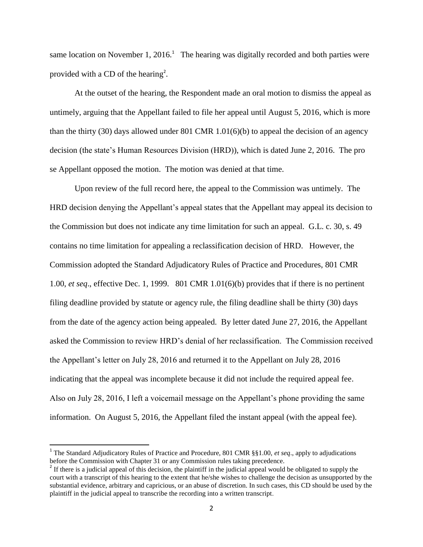same location on November 1, 2016.<sup>1</sup> The hearing was digitally recorded and both parties were provided with a CD of the hearing<sup>2</sup>.

At the outset of the hearing, the Respondent made an oral motion to dismiss the appeal as untimely, arguing that the Appellant failed to file her appeal until August 5, 2016, which is more than the thirty (30) days allowed under 801 CMR 1.01(6)(b) to appeal the decision of an agency decision (the state's Human Resources Division (HRD)), which is dated June 2, 2016. The pro se Appellant opposed the motion. The motion was denied at that time.

Upon review of the full record here, the appeal to the Commission was untimely. The HRD decision denying the Appellant's appeal states that the Appellant may appeal its decision to the Commission but does not indicate any time limitation for such an appeal. G.L. c. 30, s. 49 contains no time limitation for appealing a reclassification decision of HRD. However, the Commission adopted the Standard Adjudicatory Rules of Practice and Procedures, 801 CMR 1.00, *et seq*., effective Dec. 1, 1999. 801 CMR 1.01(6)(b) provides that if there is no pertinent filing deadline provided by statute or agency rule, the filing deadline shall be thirty (30) days from the date of the agency action being appealed. By letter dated June 27, 2016, the Appellant asked the Commission to review HRD's denial of her reclassification. The Commission received the Appellant's letter on July 28, 2016 and returned it to the Appellant on July 28, 2016 indicating that the appeal was incomplete because it did not include the required appeal fee. Also on July 28, 2016, I left a voicemail message on the Appellant's phone providing the same information. On August 5, 2016, the Appellant filed the instant appeal (with the appeal fee).

 $\overline{\phantom{a}}$ 

<sup>&</sup>lt;sup>1</sup> The Standard Adjudicatory Rules of Practice and Procedure, 801 CMR §§1.00, *et seq.*, apply to adjudications before the Commission with Chapter 31 or any Commission rules taking precedence.

 $2<sup>2</sup>$  If there is a judicial appeal of this decision, the plaintiff in the judicial appeal would be obligated to supply the court with a transcript of this hearing to the extent that he/she wishes to challenge the decision as unsupported by the substantial evidence, arbitrary and capricious, or an abuse of discretion. In such cases, this CD should be used by the plaintiff in the judicial appeal to transcribe the recording into a written transcript.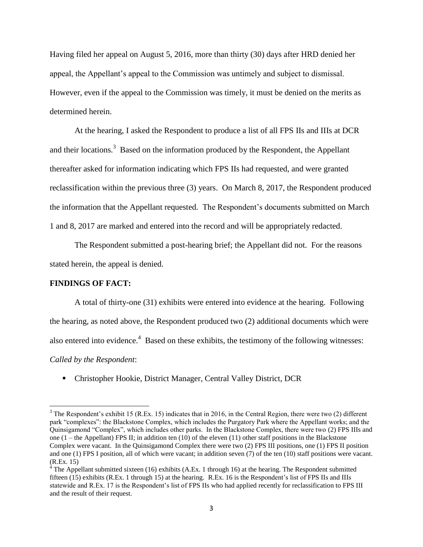Having filed her appeal on August 5, 2016, more than thirty (30) days after HRD denied her appeal, the Appellant's appeal to the Commission was untimely and subject to dismissal. However, even if the appeal to the Commission was timely, it must be denied on the merits as determined herein.

At the hearing, I asked the Respondent to produce a list of all FPS IIs and IIIs at DCR and their locations.<sup>3</sup> Based on the information produced by the Respondent, the Appellant thereafter asked for information indicating which FPS IIs had requested, and were granted reclassification within the previous three (3) years. On March 8, 2017, the Respondent produced the information that the Appellant requested. The Respondent's documents submitted on March 1 and 8, 2017 are marked and entered into the record and will be appropriately redacted.

The Respondent submitted a post-hearing brief; the Appellant did not. For the reasons stated herein, the appeal is denied.

## **FINDINGS OF FACT:**

 $\overline{\phantom{a}}$ 

A total of thirty-one (31) exhibits were entered into evidence at the hearing. Following the hearing, as noted above, the Respondent produced two (2) additional documents which were also entered into evidence.<sup>4</sup> Based on these exhibits, the testimony of the following witnesses: *Called by the Respondent*:

Christopher Hookie, District Manager, Central Valley District, DCR

 $3$  The Respondent's exhibit 15 (R.Ex. 15) indicates that in 2016, in the Central Region, there were two (2) different park "complexes": the Blackstone Complex, which includes the Purgatory Park where the Appellant works; and the Quinsigamond "Complex", which includes other parks. In the Blackstone Complex, there were two (2) FPS IIIs and one  $(1 -$  the Appellant) FPS II; in addition ten  $(10)$  of the eleven  $(11)$  other staff positions in the Blackstone Complex were vacant. In the Quinsigamond Complex there were two (2) FPS III positions, one (1) FPS II position and one (1) FPS I position, all of which were vacant; in addition seven (7) of the ten (10) staff positions were vacant. (R.Ex. 15)

<sup>&</sup>lt;sup>4</sup> The Appellant submitted sixteen (16) exhibits (A.Ex. 1 through 16) at the hearing. The Respondent submitted fifteen (15) exhibits (R.Ex. 1 through 15) at the hearing. R.Ex. 16 is the Respondent's list of FPS IIs and IIIs statewide and R.Ex. 17 is the Respondent's list of FPS IIs who had applied recently for reclassification to FPS III and the result of their request.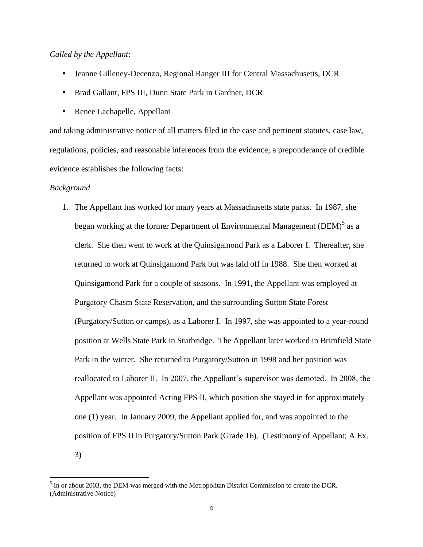# *Called by the Appellant*:

- Jeanne Gilleney-Decenzo, Regional Ranger III for Central Massachusetts, DCR
- Brad Gallant, FPS III, Dunn State Park in Gardner, DCR
- Renee Lachapelle, Appellant

and taking administrative notice of all matters filed in the case and pertinent statutes, case law, regulations, policies, and reasonable inferences from the evidence; a preponderance of credible evidence establishes the following facts:

#### *Background*

 $\overline{\phantom{a}}$ 

1. The Appellant has worked for many years at Massachusetts state parks. In 1987, she began working at the former Department of Environmental Management (DEM) $^5$  as a clerk. She then went to work at the Quinsigamond Park as a Laborer I. Thereafter, she returned to work at Quinsigamond Park but was laid off in 1988. She then worked at Quinsigamond Park for a couple of seasons. In 1991, the Appellant was employed at Purgatory Chasm State Reservation, and the surrounding Sutton State Forest (Purgatory/Sutton or camps), as a Laborer I. In 1997, she was appointed to a year-round position at Wells State Park in Sturbridge. The Appellant later worked in Brimfield State Park in the winter. She returned to Purgatory/Sutton in 1998 and her position was reallocated to Laborer II. In 2007, the Appellant's supervisor was demoted. In 2008, the Appellant was appointed Acting FPS II, which position she stayed in for approximately one (1) year. In January 2009, the Appellant applied for, and was appointed to the position of FPS II in Purgatory/Sutton Park (Grade 16). (Testimony of Appellant; A.Ex. 3)

 $<sup>5</sup>$  In or about 2003, the DEM was merged with the Metropolitan District Commission to create the DCR.</sup> (Administrative Notice)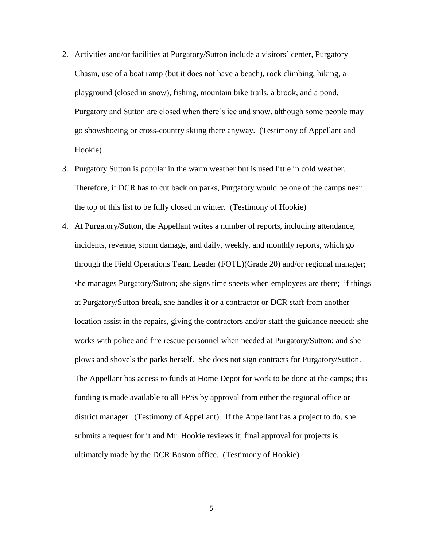- 2. Activities and/or facilities at Purgatory/Sutton include a visitors' center, Purgatory Chasm, use of a boat ramp (but it does not have a beach), rock climbing, hiking, a playground (closed in snow), fishing, mountain bike trails, a brook, and a pond. Purgatory and Sutton are closed when there's ice and snow, although some people may go showshoeing or cross-country skiing there anyway. (Testimony of Appellant and Hookie)
- 3. Purgatory Sutton is popular in the warm weather but is used little in cold weather. Therefore, if DCR has to cut back on parks, Purgatory would be one of the camps near the top of this list to be fully closed in winter. (Testimony of Hookie)
- 4. At Purgatory/Sutton, the Appellant writes a number of reports, including attendance, incidents, revenue, storm damage, and daily, weekly, and monthly reports, which go through the Field Operations Team Leader (FOTL)(Grade 20) and/or regional manager; she manages Purgatory/Sutton; she signs time sheets when employees are there; if things at Purgatory/Sutton break, she handles it or a contractor or DCR staff from another location assist in the repairs, giving the contractors and/or staff the guidance needed; she works with police and fire rescue personnel when needed at Purgatory/Sutton; and she plows and shovels the parks herself. She does not sign contracts for Purgatory/Sutton. The Appellant has access to funds at Home Depot for work to be done at the camps; this funding is made available to all FPSs by approval from either the regional office or district manager. (Testimony of Appellant). If the Appellant has a project to do, she submits a request for it and Mr. Hookie reviews it; final approval for projects is ultimately made by the DCR Boston office. (Testimony of Hookie)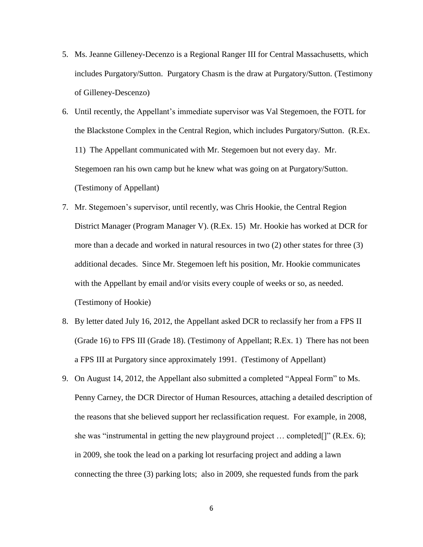- 5. Ms. Jeanne Gilleney-Decenzo is a Regional Ranger III for Central Massachusetts, which includes Purgatory/Sutton. Purgatory Chasm is the draw at Purgatory/Sutton. (Testimony of Gilleney-Descenzo)
- 6. Until recently, the Appellant's immediate supervisor was Val Stegemoen, the FOTL for the Blackstone Complex in the Central Region, which includes Purgatory/Sutton. (R.Ex. 11) The Appellant communicated with Mr. Stegemoen but not every day. Mr. Stegemoen ran his own camp but he knew what was going on at Purgatory/Sutton. (Testimony of Appellant)
- 7. Mr. Stegemoen's supervisor, until recently, was Chris Hookie, the Central Region District Manager (Program Manager V). (R.Ex. 15) Mr. Hookie has worked at DCR for more than a decade and worked in natural resources in two (2) other states for three (3) additional decades. Since Mr. Stegemoen left his position, Mr. Hookie communicates with the Appellant by email and/or visits every couple of weeks or so, as needed. (Testimony of Hookie)
- 8. By letter dated July 16, 2012, the Appellant asked DCR to reclassify her from a FPS II (Grade 16) to FPS III (Grade 18). (Testimony of Appellant; R.Ex. 1) There has not been a FPS III at Purgatory since approximately 1991. (Testimony of Appellant)
- 9. On August 14, 2012, the Appellant also submitted a completed "Appeal Form" to Ms. Penny Carney, the DCR Director of Human Resources, attaching a detailed description of the reasons that she believed support her reclassification request. For example, in 2008, she was "instrumental in getting the new playground project … completed[]" (R.Ex. 6); in 2009, she took the lead on a parking lot resurfacing project and adding a lawn connecting the three (3) parking lots; also in 2009, she requested funds from the park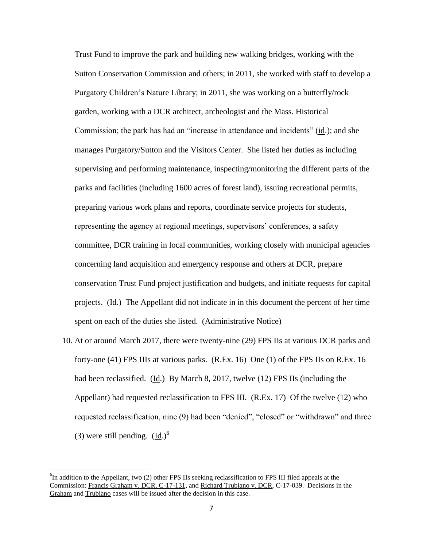Trust Fund to improve the park and building new walking bridges, working with the Sutton Conservation Commission and others; in 2011, she worked with staff to develop a Purgatory Children's Nature Library; in 2011, she was working on a butterfly/rock garden, working with a DCR architect, archeologist and the Mass. Historical Commission; the park has had an "increase in attendance and incidents" (id.); and she manages Purgatory/Sutton and the Visitors Center. She listed her duties as including supervising and performing maintenance, inspecting/monitoring the different parts of the parks and facilities (including 1600 acres of forest land), issuing recreational permits, preparing various work plans and reports, coordinate service projects for students, representing the agency at regional meetings, supervisors' conferences, a safety committee, DCR training in local communities, working closely with municipal agencies concerning land acquisition and emergency response and others at DCR, prepare conservation Trust Fund project justification and budgets, and initiate requests for capital projects. (Id.) The Appellant did not indicate in in this document the percent of her time spent on each of the duties she listed. (Administrative Notice)

10. At or around March 2017, there were twenty-nine (29) FPS IIs at various DCR parks and forty-one (41) FPS IIIs at various parks. (R.Ex. 16) One (1) of the FPS IIs on R.Ex. 16 had been reclassified. (Id.) By March 8, 2017, twelve (12) FPS IIs (including the Appellant) had requested reclassification to FPS III. (R.Ex. 17) Of the twelve (12) who requested reclassification, nine (9) had been "denied", "closed" or "withdrawn" and three (3) were still pending.  $(Id.)^6$ 

 $\overline{\phantom{a}}$ 

 ${}^{6}$ In addition to the Appellant, two (2) other FPS IIs seeking reclassification to FPS III filed appeals at the Commission: Francis Graham v. DCR, C-17-131, and Richard Trubiano v. DCR, C-17-039. Decisions in the Graham and Trubiano cases will be issued after the decision in this case.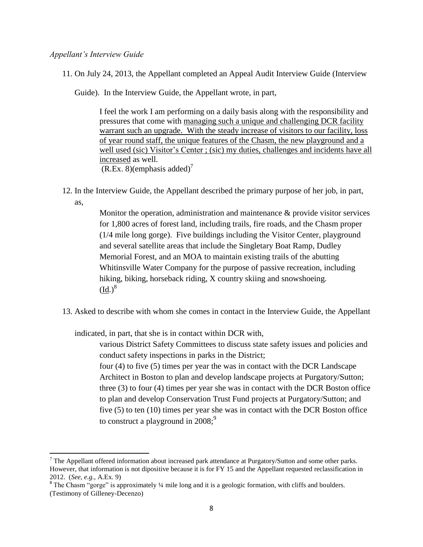## *Appellant's Interview Guide*

 $\overline{a}$ 

11. On July 24, 2013, the Appellant completed an Appeal Audit Interview Guide (Interview

Guide). In the Interview Guide, the Appellant wrote, in part,

I feel the work I am performing on a daily basis along with the responsibility and pressures that come with managing such a unique and challenging DCR facility warrant such an upgrade. With the steady increase of visitors to our facility, loss of year round staff, the unique features of the Chasm, the new playground and a well used (sic) Visitor's Center ; (sic) my duties, challenges and incidents have all increased as well.  $(R.Ex. 8)(emphasis added)<sup>7</sup>$ 

12. In the Interview Guide, the Appellant described the primary purpose of her job, in part, as,

> Monitor the operation, administration and maintenance & provide visitor services for 1,800 acres of forest land, including trails, fire roads, and the Chasm proper (1/4 mile long gorge). Five buildings including the Visitor Center, playground and several satellite areas that include the Singletary Boat Ramp, Dudley Memorial Forest, and an MOA to maintain existing trails of the abutting Whitinsville Water Company for the purpose of passive recreation, including hiking, biking, horseback riding, X country skiing and snowshoeing.  $\text{(Id.)}^8$

13. Asked to describe with whom she comes in contact in the Interview Guide, the Appellant

indicated, in part, that she is in contact within DCR with,

various District Safety Committees to discuss state safety issues and policies and conduct safety inspections in parks in the District;

four (4) to five (5) times per year the was in contact with the DCR Landscape Architect in Boston to plan and develop landscape projects at Purgatory/Sutton; three (3) to four (4) times per year she was in contact with the DCR Boston office to plan and develop Conservation Trust Fund projects at Purgatory/Sutton; and five (5) to ten (10) times per year she was in contact with the DCR Boston office to construct a playground in  $2008$ ;<sup>9</sup>

 $7$  The Appellant offered information about increased park attendance at Purgatory/Sutton and some other parks. However, that information is not dipositive because it is for FY 15 and the Appellant requested reclassification in 2012. (*See, e.g.,* A.Ex. 9) 8 The Chasm "gorge" is approximately ¼ mile long and it is a geologic formation, with cliffs and boulders.

<sup>(</sup>Testimony of Gilleney-Decenzo)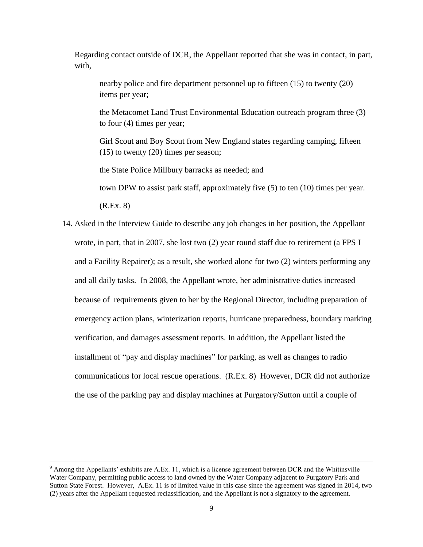Regarding contact outside of DCR, the Appellant reported that she was in contact, in part, with,

nearby police and fire department personnel up to fifteen (15) to twenty (20) items per year;

the Metacomet Land Trust Environmental Education outreach program three (3) to four (4) times per year;

Girl Scout and Boy Scout from New England states regarding camping, fifteen  $(15)$  to twenty  $(20)$  times per season;

the State Police Millbury barracks as needed; and

town DPW to assist park staff, approximately five (5) to ten (10) times per year.

(R.Ex. 8)

 $\overline{\phantom{a}}$ 

14. Asked in the Interview Guide to describe any job changes in her position, the Appellant wrote, in part, that in 2007, she lost two (2) year round staff due to retirement (a FPS I and a Facility Repairer); as a result, she worked alone for two (2) winters performing any and all daily tasks. In 2008, the Appellant wrote, her administrative duties increased because of requirements given to her by the Regional Director, including preparation of emergency action plans, winterization reports, hurricane preparedness, boundary marking verification, and damages assessment reports. In addition, the Appellant listed the installment of "pay and display machines" for parking, as well as changes to radio communications for local rescue operations. (R.Ex. 8) However, DCR did not authorize the use of the parking pay and display machines at Purgatory/Sutton until a couple of

<sup>9</sup> Among the Appellants' exhibits are A.Ex. 11, which is a license agreement between DCR and the Whitinsville Water Company, permitting public access to land owned by the Water Company adjacent to Purgatory Park and Sutton State Forest. However, A.Ex. 11 is of limited value in this case since the agreement was signed in 2014, two (2) years after the Appellant requested reclassification, and the Appellant is not a signatory to the agreement.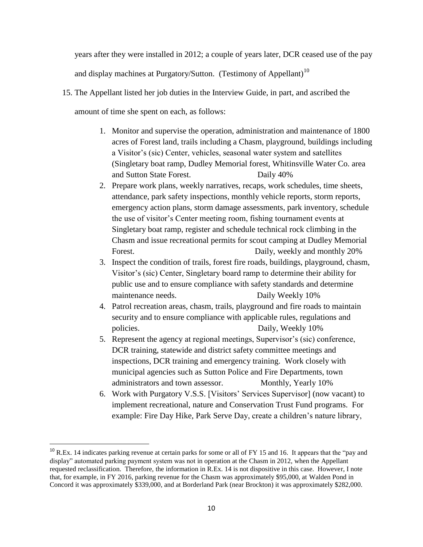years after they were installed in 2012; a couple of years later, DCR ceased use of the pay and display machines at Purgatory/Sutton. (Testimony of Appellant)<sup>10</sup>

- 15. The Appellant listed her job duties in the Interview Guide, in part, and ascribed the amount of time she spent on each, as follows:
	- 1. Monitor and supervise the operation, administration and maintenance of 1800 acres of Forest land, trails including a Chasm, playground, buildings including a Visitor's (sic) Center, vehicles, seasonal water system and satellites (Singletary boat ramp, Dudley Memorial forest, Whitinsville Water Co. area and Sutton State Forest. Daily 40%
	- 2. Prepare work plans, weekly narratives, recaps, work schedules, time sheets, attendance, park safety inspections, monthly vehicle reports, storm reports, emergency action plans, storm damage assessments, park inventory, schedule the use of visitor's Center meeting room, fishing tournament events at Singletary boat ramp, register and schedule technical rock climbing in the Chasm and issue recreational permits for scout camping at Dudley Memorial Forest. Daily, weekly and monthly 20%
	- 3. Inspect the condition of trails, forest fire roads, buildings, playground, chasm, Visitor's (sic) Center, Singletary board ramp to determine their ability for public use and to ensure compliance with safety standards and determine maintenance needs. Daily Weekly 10%
	- 4. Patrol recreation areas, chasm, trails, playground and fire roads to maintain security and to ensure compliance with applicable rules, regulations and policies. Daily, Weekly 10%
	- 5. Represent the agency at regional meetings, Supervisor's (sic) conference, DCR training, statewide and district safety committee meetings and inspections, DCR training and emergency training. Work closely with municipal agencies such as Sutton Police and Fire Departments, town administrators and town assessor. Monthly, Yearly 10%
	- 6. Work with Purgatory V.S.S. [Visitors' Services Supervisor] (now vacant) to implement recreational, nature and Conservation Trust Fund programs. For example: Fire Day Hike, Park Serve Day, create a children's nature library,

l

 $10$  R.Ex. 14 indicates parking revenue at certain parks for some or all of FY 15 and 16. It appears that the "pay and display" automated parking payment system was not in operation at the Chasm in 2012, when the Appellant requested reclassification. Therefore, the information in R.Ex. 14 is not dispositive in this case. However, I note that, for example, in FY 2016, parking revenue for the Chasm was approximately \$95,000, at Walden Pond in Concord it was approximately \$339,000, and at Borderland Park (near Brockton) it was approximately \$282,000.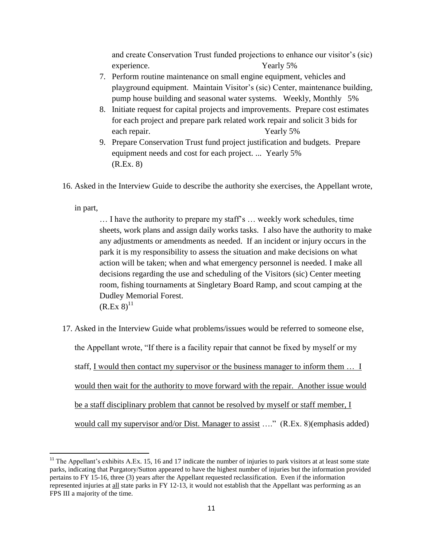and create Conservation Trust funded projections to enhance our visitor's (sic) experience. Yearly 5%

- 7. Perform routine maintenance on small engine equipment, vehicles and playground equipment. Maintain Visitor's (sic) Center, maintenance building, pump house building and seasonal water systems. Weekly, Monthly 5%
- 8. Initiate request for capital projects and improvements. Prepare cost estimates for each project and prepare park related work repair and solicit 3 bids for each repair. Yearly 5%
- 9. Prepare Conservation Trust fund project justification and budgets. Prepare equipment needs and cost for each project. ... Yearly 5% (R.Ex. 8)
- 16. Asked in the Interview Guide to describe the authority she exercises, the Appellant wrote,

in part,

 $\overline{a}$ 

… I have the authority to prepare my staff's … weekly work schedules, time sheets, work plans and assign daily works tasks. I also have the authority to make any adjustments or amendments as needed. If an incident or injury occurs in the park it is my responsibility to assess the situation and make decisions on what action will be taken; when and what emergency personnel is needed. I make all decisions regarding the use and scheduling of the Visitors (sic) Center meeting room, fishing tournaments at Singletary Board Ramp, and scout camping at the Dudley Memorial Forest.  $(R.Ex 8)^{11}$ 

17. Asked in the Interview Guide what problems/issues would be referred to someone else, the Appellant wrote, "If there is a facility repair that cannot be fixed by myself or my staff, I would then contact my supervisor or the business manager to inform them … I would then wait for the authority to move forward with the repair. Another issue would be a staff disciplinary problem that cannot be resolved by myself or staff member, I would call my supervisor and/or Dist. Manager to assist …." (R.Ex. 8)(emphasis added)

<sup>&</sup>lt;sup>11</sup> The Appellant's exhibits A.Ex. 15, 16 and 17 indicate the number of injuries to park visitors at at least some state parks, indicating that Purgatory/Sutton appeared to have the highest number of injuries but the information provided pertains to FY 15-16, three (3) years after the Appellant requested reclassification. Even if the information represented injuries at all state parks in FY 12-13, it would not establish that the Appellant was performing as an FPS III a majority of the time.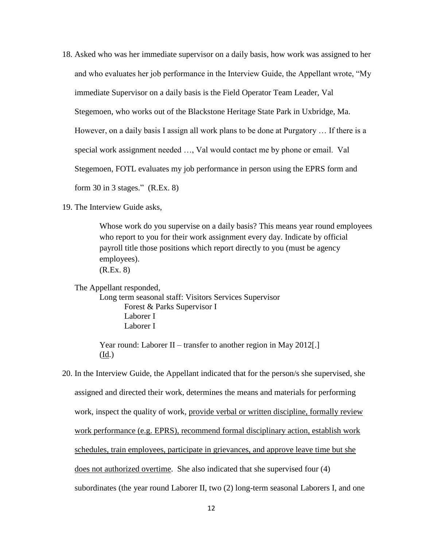- 18. Asked who was her immediate supervisor on a daily basis, how work was assigned to her and who evaluates her job performance in the Interview Guide, the Appellant wrote, "My immediate Supervisor on a daily basis is the Field Operator Team Leader, Val Stegemoen, who works out of the Blackstone Heritage State Park in Uxbridge, Ma. However, on a daily basis I assign all work plans to be done at Purgatory … If there is a special work assignment needed …, Val would contact me by phone or email. Val Stegemoen, FOTL evaluates my job performance in person using the EPRS form and form 30 in 3 stages." (R.Ex. 8)
- 19. The Interview Guide asks,

Whose work do you supervise on a daily basis? This means year round employees who report to you for their work assignment every day. Indicate by official payroll title those positions which report directly to you (must be agency employees). (R.Ex. 8)

The Appellant responded,

Long term seasonal staff: Visitors Services Supervisor Forest & Parks Supervisor I Laborer I Laborer I

Year round: Laborer II – transfer to another region in May 2012[.] (Id.)

20. In the Interview Guide, the Appellant indicated that for the person/s she supervised, she assigned and directed their work, determines the means and materials for performing work, inspect the quality of work, provide verbal or written discipline, formally review work performance (e.g. EPRS), recommend formal disciplinary action, establish work schedules, train employees, participate in grievances, and approve leave time but she does not authorized overtime. She also indicated that she supervised four (4) subordinates (the year round Laborer II, two (2) long-term seasonal Laborers I, and one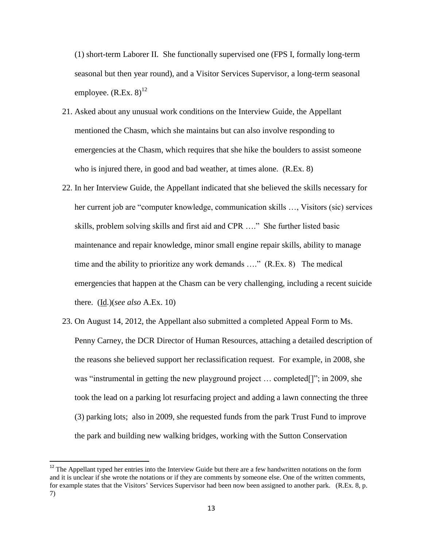(1) short-term Laborer II. She functionally supervised one (FPS I, formally long-term seasonal but then year round), and a Visitor Services Supervisor, a long-term seasonal employee.  $(R.Ex. 8)^{12}$ 

- 21. Asked about any unusual work conditions on the Interview Guide, the Appellant mentioned the Chasm, which she maintains but can also involve responding to emergencies at the Chasm, which requires that she hike the boulders to assist someone who is injured there, in good and bad weather, at times alone. (R.Ex. 8)
- 22. In her Interview Guide, the Appellant indicated that she believed the skills necessary for her current job are "computer knowledge, communication skills …, Visitors (sic) services skills, problem solving skills and first aid and CPR …." She further listed basic maintenance and repair knowledge, minor small engine repair skills, ability to manage time and the ability to prioritize any work demands …." (R.Ex. 8) The medical emergencies that happen at the Chasm can be very challenging, including a recent suicide there. (Id.)(*see also* A.Ex. 10)
- 23. On August 14, 2012, the Appellant also submitted a completed Appeal Form to Ms. Penny Carney, the DCR Director of Human Resources, attaching a detailed description of the reasons she believed support her reclassification request. For example, in 2008, she was "instrumental in getting the new playground project … completed[]"; in 2009, she took the lead on a parking lot resurfacing project and adding a lawn connecting the three (3) parking lots; also in 2009, she requested funds from the park Trust Fund to improve the park and building new walking bridges, working with the Sutton Conservation

 $\overline{\phantom{a}}$ 

<sup>&</sup>lt;sup>12</sup> The Appellant typed her entries into the Interview Guide but there are a few handwritten notations on the form and it is unclear if she wrote the notations or if they are comments by someone else. One of the written comments, for example states that the Visitors' Services Supervisor had been now been assigned to another park. (R.Ex. 8, p. 7)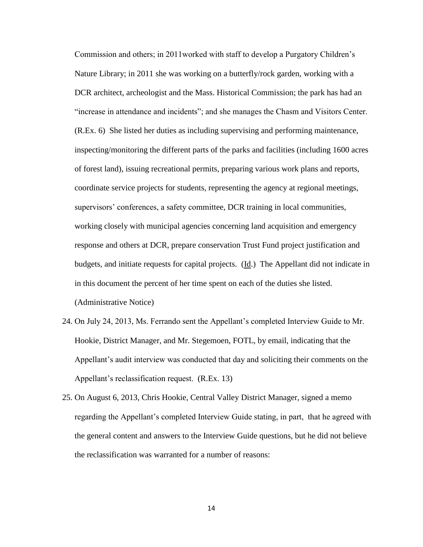Commission and others; in 2011worked with staff to develop a Purgatory Children's Nature Library; in 2011 she was working on a butterfly/rock garden, working with a DCR architect, archeologist and the Mass. Historical Commission; the park has had an "increase in attendance and incidents"; and she manages the Chasm and Visitors Center. (R.Ex. 6) She listed her duties as including supervising and performing maintenance, inspecting/monitoring the different parts of the parks and facilities (including 1600 acres of forest land), issuing recreational permits, preparing various work plans and reports, coordinate service projects for students, representing the agency at regional meetings, supervisors' conferences, a safety committee, DCR training in local communities, working closely with municipal agencies concerning land acquisition and emergency response and others at DCR, prepare conservation Trust Fund project justification and budgets, and initiate requests for capital projects. (Id.) The Appellant did not indicate in in this document the percent of her time spent on each of the duties she listed. (Administrative Notice)

- 24. On July 24, 2013, Ms. Ferrando sent the Appellant's completed Interview Guide to Mr. Hookie, District Manager, and Mr. Stegemoen, FOTL, by email, indicating that the Appellant's audit interview was conducted that day and soliciting their comments on the Appellant's reclassification request. (R.Ex. 13)
- 25. On August 6, 2013, Chris Hookie, Central Valley District Manager, signed a memo regarding the Appellant's completed Interview Guide stating, in part, that he agreed with the general content and answers to the Interview Guide questions, but he did not believe the reclassification was warranted for a number of reasons: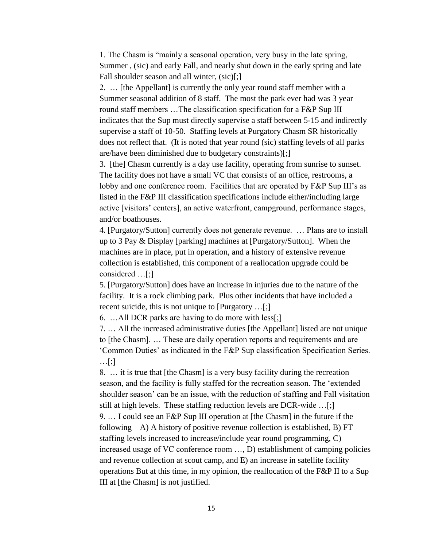1. The Chasm is "mainly a seasonal operation, very busy in the late spring, Summer , (sic) and early Fall, and nearly shut down in the early spring and late Fall shoulder season and all winter, (sic)[;]

2. … [the Appellant] is currently the only year round staff member with a Summer seasonal addition of 8 staff. The most the park ever had was 3 year round staff members …The classification specification for a F&P Sup III indicates that the Sup must directly supervise a staff between 5-15 and indirectly supervise a staff of 10-50. Staffing levels at Purgatory Chasm SR historically does not reflect that. (It is noted that year round (sic) staffing levels of all parks are/have been diminished due to budgetary constraints)[;]

3. [the] Chasm currently is a day use facility, operating from sunrise to sunset. The facility does not have a small VC that consists of an office, restrooms, a lobby and one conference room. Facilities that are operated by F&P Sup III's as listed in the F&P III classification specifications include either/including large active [visitors' centers], an active waterfront, campground, performance stages, and/or boathouses.

4. [Purgatory/Sutton] currently does not generate revenue. … Plans are to install up to 3 Pay & Display [parking] machines at [Purgatory/Sutton]. When the machines are in place, put in operation, and a history of extensive revenue collection is established, this component of a reallocation upgrade could be considered …[;]

5. [Purgatory/Sutton] does have an increase in injuries due to the nature of the facility. It is a rock climbing park. Plus other incidents that have included a recent suicide, this is not unique to [Purgatory …[;]

6. …All DCR parks are having to do more with less[;]

7. … All the increased administrative duties [the Appellant] listed are not unique to [the Chasm]. … These are daily operation reports and requirements and are 'Common Duties' as indicated in the F&P Sup classification Specification Series. …[;]

8. … it is true that [the Chasm] is a very busy facility during the recreation season, and the facility is fully staffed for the recreation season. The 'extended shoulder season' can be an issue, with the reduction of staffing and Fall visitation still at high levels. These staffing reduction levels are DCR-wide …[;]

9. … I could see an F&P Sup III operation at [the Chasm] in the future if the following  $- A$ ) A history of positive revenue collection is established, B) FT staffing levels increased to increase/include year round programming, C) increased usage of VC conference room …, D) establishment of camping policies and revenue collection at scout camp, and E) an increase in satellite facility operations But at this time, in my opinion, the reallocation of the F&P II to a Sup III at [the Chasm] is not justified.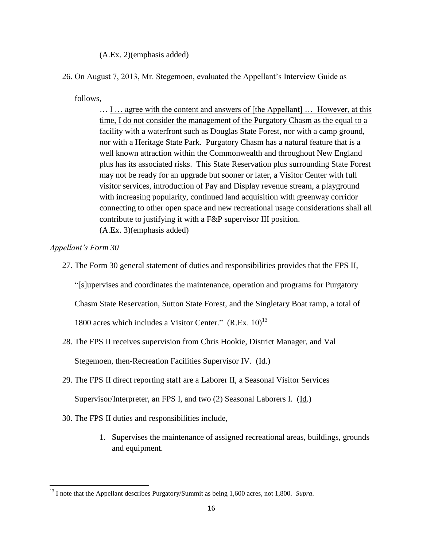(A.Ex. 2)(emphasis added)

26. On August 7, 2013, Mr. Stegemoen, evaluated the Appellant's Interview Guide as

follows,

… I … agree with the content and answers of [the Appellant] … However, at this time, I do not consider the management of the Purgatory Chasm as the equal to a facility with a waterfront such as Douglas State Forest, nor with a camp ground, nor with a Heritage State Park. Purgatory Chasm has a natural feature that is a well known attraction within the Commonwealth and throughout New England plus has its associated risks. This State Reservation plus surrounding State Forest may not be ready for an upgrade but sooner or later, a Visitor Center with full visitor services, introduction of Pay and Display revenue stream, a playground with increasing popularity, continued land acquisition with greenway corridor connecting to other open space and new recreational usage considerations shall all contribute to justifying it with a F&P supervisor III position. (A.Ex. 3)(emphasis added)

*Appellant's Form 30* 

 $\overline{\phantom{a}}$ 

27. The Form 30 general statement of duties and responsibilities provides that the FPS II,

"[s]upervises and coordinates the maintenance, operation and programs for Purgatory

Chasm State Reservation, Sutton State Forest, and the Singletary Boat ramp, a total of

1800 acres which includes a Visitor Center."  $(R.Ex, 10)^{13}$ 

28. The FPS II receives supervision from Chris Hookie, District Manager, and Val

Stegemoen, then-Recreation Facilities Supervisor IV. (Id.)

29. The FPS II direct reporting staff are a Laborer II, a Seasonal Visitor Services

Supervisor/Interpreter, an FPS I, and two (2) Seasonal Laborers I. (Id.)

- 30. The FPS II duties and responsibilities include,
	- 1. Supervises the maintenance of assigned recreational areas, buildings, grounds and equipment.

<sup>&</sup>lt;sup>13</sup> I note that the Appellant describes Purgatory/Summit as being 1,600 acres, not 1,800. *Supra*.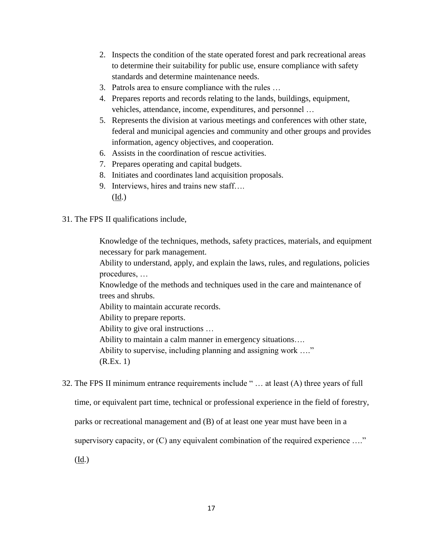- 2. Inspects the condition of the state operated forest and park recreational areas to determine their suitability for public use, ensure compliance with safety standards and determine maintenance needs.
- 3. Patrols area to ensure compliance with the rules …
- 4. Prepares reports and records relating to the lands, buildings, equipment, vehicles, attendance, income, expenditures, and personnel …
- 5. Represents the division at various meetings and conferences with other state, federal and municipal agencies and community and other groups and provides information, agency objectives, and cooperation.
- 6. Assists in the coordination of rescue activities.
- 7. Prepares operating and capital budgets.
- 8. Initiates and coordinates land acquisition proposals.
- 9. Interviews, hires and trains new staff…. (Id.)
- 31. The FPS II qualifications include,

Knowledge of the techniques, methods, safety practices, materials, and equipment necessary for park management.

Ability to understand, apply, and explain the laws, rules, and regulations, policies procedures, …

Knowledge of the methods and techniques used in the care and maintenance of trees and shrubs.

Ability to maintain accurate records.

Ability to prepare reports.

Ability to give oral instructions …

Ability to maintain a calm manner in emergency situations….

Ability to supervise, including planning and assigning work …."

(R.Ex. 1)

32. The FPS II minimum entrance requirements include " … at least (A) three years of full

time, or equivalent part time, technical or professional experience in the field of forestry,

parks or recreational management and (B) of at least one year must have been in a

supervisory capacity, or (C) any equivalent combination of the required experience …."

(Id.)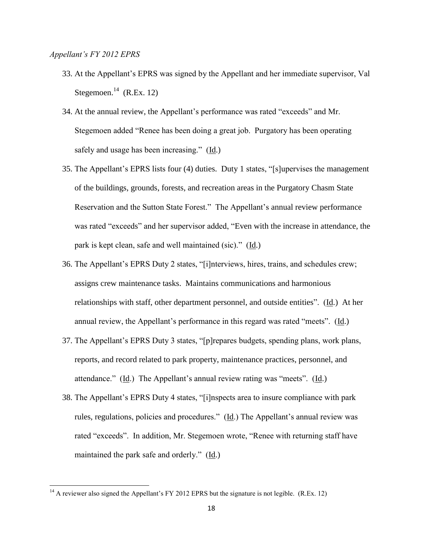## *Appellant's FY 2012 EPRS*

 $\overline{\phantom{a}}$ 

- 33. At the Appellant's EPRS was signed by the Appellant and her immediate supervisor, Val Stegemoen. $^{14}$  (R.Ex. 12)
- 34. At the annual review, the Appellant's performance was rated "exceeds" and Mr. Stegemoen added "Renee has been doing a great job. Purgatory has been operating safely and usage has been increasing." (Id.)
- 35. The Appellant's EPRS lists four (4) duties. Duty 1 states, "[s]upervises the management of the buildings, grounds, forests, and recreation areas in the Purgatory Chasm State Reservation and the Sutton State Forest." The Appellant's annual review performance was rated "exceeds" and her supervisor added, "Even with the increase in attendance, the park is kept clean, safe and well maintained (sic)." (Id.)
- 36. The Appellant's EPRS Duty 2 states, "[i]nterviews, hires, trains, and schedules crew; assigns crew maintenance tasks. Maintains communications and harmonious relationships with staff, other department personnel, and outside entities". (Id.) At her annual review, the Appellant's performance in this regard was rated "meets". (Id.)
- 37. The Appellant's EPRS Duty 3 states, "[p]repares budgets, spending plans, work plans, reports, and record related to park property, maintenance practices, personnel, and attendance." (Id.) The Appellant's annual review rating was "meets". (Id.)
- 38. The Appellant's EPRS Duty 4 states, "[i]nspects area to insure compliance with park rules, regulations, policies and procedures." (Id.) The Appellant's annual review was rated "exceeds". In addition, Mr. Stegemoen wrote, "Renee with returning staff have maintained the park safe and orderly." (Id.)

<sup>&</sup>lt;sup>14</sup> A reviewer also signed the Appellant's FY 2012 EPRS but the signature is not legible. (R.Ex. 12)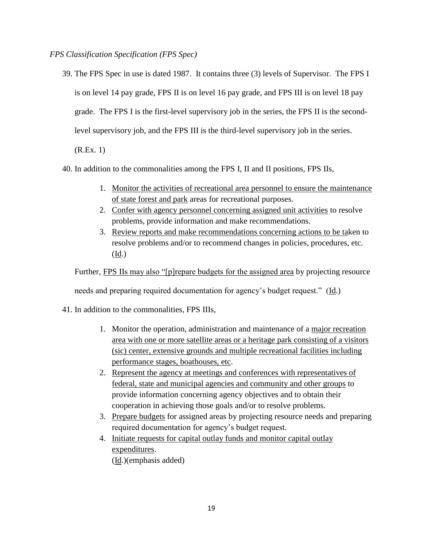*FPS Classification Specification (FPS Spec)*

39. The FPS Spec in use is dated 1987. It contains three (3) levels of Supervisor. The FPS I is on level 14 pay grade, FPS II is on level 16 pay grade, and FPS III is on level 18 pay grade. The FPS I is the first-level supervisory job in the series, the FPS II is the secondlevel supervisory job, and the FPS III is the third-level supervisory job in the series.

(R.Ex. 1)

- 40. In addition to the commonalities among the FPS I, II and II positions, FPS IIs,
	- 1. Monitor the activities of recreational area personnel to ensure the maintenance of state forest and park areas for recreational purposes.
	- 2. Confer with agency personnel concerning assigned unit activities to resolve problems, provide information and make recommendations.
	- 3. Review reports and make recommendations concerning actions to be taken to resolve problems and/or to recommend changes in policies, procedures, etc. (Id.)

Further, FPS IIs may also "[p]repare budgets for the assigned area by projecting resource

needs and preparing required documentation for agency's budget request." (Id.)

41. In addition to the commonalities, FPS IIIs,

- 1. Monitor the operation, administration and maintenance of a major recreation area with one or more satellite areas or a heritage park consisting of a visitors (sic) center, extensive grounds and multiple recreational facilities including performance stages, boathouses, etc.
- 2. Represent the agency at meetings and conferences with representatives of federal, state and municipal agencies and community and other groups to provide information concerning agency objectives and to obtain their cooperation in achieving those goals and/or to resolve problems.
- 3. Prepare budgets for assigned areas by projecting resource needs and preparing required documentation for agency's budget request.
- 4. Initiate requests for capital outlay funds and monitor capital outlay expenditures.

(Id.)(emphasis added)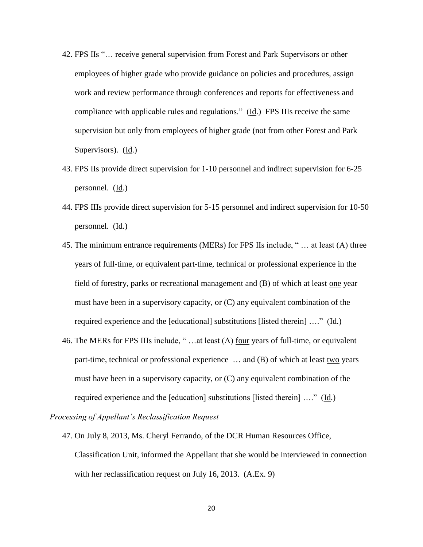- 42. FPS IIs "… receive general supervision from Forest and Park Supervisors or other employees of higher grade who provide guidance on policies and procedures, assign work and review performance through conferences and reports for effectiveness and compliance with applicable rules and regulations." (Id.) FPS IIIs receive the same supervision but only from employees of higher grade (not from other Forest and Park Supervisors). (Id.)
- 43. FPS IIs provide direct supervision for 1-10 personnel and indirect supervision for 6-25 personnel. (Id.)
- 44. FPS IIIs provide direct supervision for 5-15 personnel and indirect supervision for 10-50 personnel. (Id.)
- 45. The minimum entrance requirements (MERs) for FPS IIs include, " … at least (A) three years of full-time, or equivalent part-time, technical or professional experience in the field of forestry, parks or recreational management and (B) of which at least one year must have been in a supervisory capacity, or (C) any equivalent combination of the required experience and the [educational] substitutions [listed therein] …." (Id.)
- 46. The MERs for FPS IIIs include, " …at least (A) four years of full-time, or equivalent part-time, technical or professional experience … and (B) of which at least two years must have been in a supervisory capacity, or (C) any equivalent combination of the required experience and the [education] substitutions [listed therein] …." (Id.)

*Processing of Appellant's Reclassification Request*

47. On July 8, 2013, Ms. Cheryl Ferrando, of the DCR Human Resources Office, Classification Unit, informed the Appellant that she would be interviewed in connection with her reclassification request on July 16, 2013. (A.Ex. 9)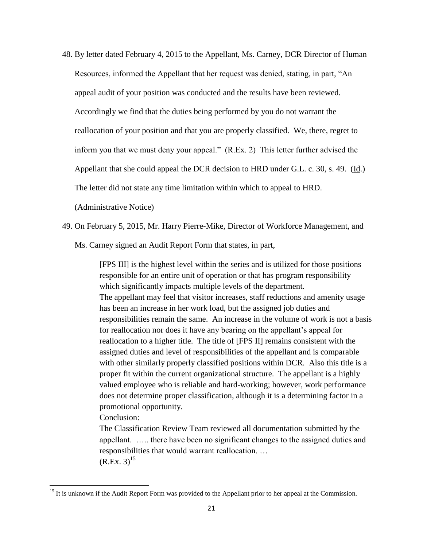48. By letter dated February 4, 2015 to the Appellant, Ms. Carney, DCR Director of Human Resources, informed the Appellant that her request was denied, stating, in part, "An appeal audit of your position was conducted and the results have been reviewed. Accordingly we find that the duties being performed by you do not warrant the reallocation of your position and that you are properly classified. We, there, regret to inform you that we must deny your appeal." (R.Ex. 2) This letter further advised the Appellant that she could appeal the DCR decision to HRD under G.L. c. 30, s. 49. (Id.) The letter did not state any time limitation within which to appeal to HRD.

(Administrative Notice)

49. On February 5, 2015, Mr. Harry Pierre-Mike, Director of Workforce Management, and

Ms. Carney signed an Audit Report Form that states, in part,

[FPS III] is the highest level within the series and is utilized for those positions responsible for an entire unit of operation or that has program responsibility which significantly impacts multiple levels of the department. The appellant may feel that visitor increases, staff reductions and amenity usage has been an increase in her work load, but the assigned job duties and responsibilities remain the same. An increase in the volume of work is not a basis for reallocation nor does it have any bearing on the appellant's appeal for reallocation to a higher title. The title of [FPS II] remains consistent with the assigned duties and level of responsibilities of the appellant and is comparable with other similarly properly classified positions within DCR. Also this title is a proper fit within the current organizational structure. The appellant is a highly valued employee who is reliable and hard-working; however, work performance does not determine proper classification, although it is a determining factor in a promotional opportunity.

Conclusion:

 $\overline{\phantom{a}}$ 

The Classification Review Team reviewed all documentation submitted by the appellant. ….. there have been no significant changes to the assigned duties and responsibilities that would warrant reallocation. …  $(R.Ex. 3)^{15}$ 

<sup>&</sup>lt;sup>15</sup> It is unknown if the Audit Report Form was provided to the Appellant prior to her appeal at the Commission.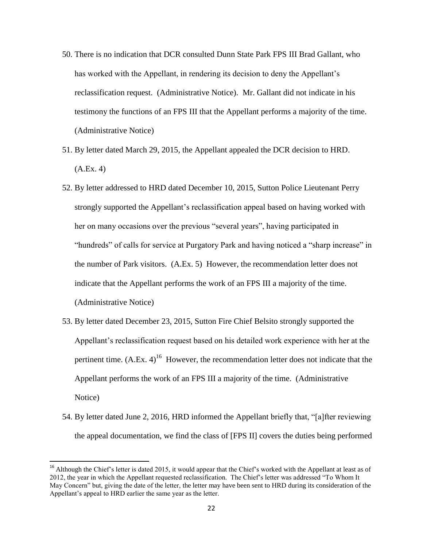- 50. There is no indication that DCR consulted Dunn State Park FPS III Brad Gallant, who has worked with the Appellant, in rendering its decision to deny the Appellant's reclassification request. (Administrative Notice). Mr. Gallant did not indicate in his testimony the functions of an FPS III that the Appellant performs a majority of the time. (Administrative Notice)
- 51. By letter dated March 29, 2015, the Appellant appealed the DCR decision to HRD. (A.Ex. 4)
- 52. By letter addressed to HRD dated December 10, 2015, Sutton Police Lieutenant Perry strongly supported the Appellant's reclassification appeal based on having worked with her on many occasions over the previous "several years", having participated in "hundreds" of calls for service at Purgatory Park and having noticed a "sharp increase" in the number of Park visitors. (A.Ex. 5) However, the recommendation letter does not indicate that the Appellant performs the work of an FPS III a majority of the time. (Administrative Notice)
- 53. By letter dated December 23, 2015, Sutton Fire Chief Belsito strongly supported the Appellant's reclassification request based on his detailed work experience with her at the pertinent time.  $(A.Ex, 4)^{16}$  However, the recommendation letter does not indicate that the Appellant performs the work of an FPS III a majority of the time. (Administrative Notice)
- 54. By letter dated June 2, 2016, HRD informed the Appellant briefly that, "[a]fter reviewing the appeal documentation, we find the class of [FPS II] covers the duties being performed

 $\overline{\phantom{a}}$ 

<sup>&</sup>lt;sup>16</sup> Although the Chief's letter is dated 2015, it would appear that the Chief's worked with the Appellant at least as of 2012, the year in which the Appellant requested reclassification. The Chief's letter was addressed "To Whom It May Concern" but, giving the date of the letter, the letter may have been sent to HRD during its consideration of the Appellant's appeal to HRD earlier the same year as the letter.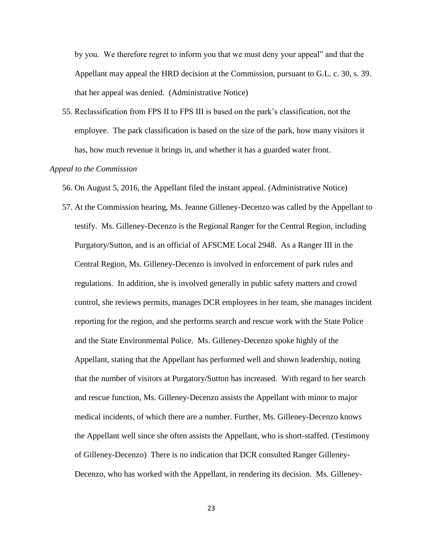by you. We therefore regret to inform you that we must deny your appeal" and that the Appellant may appeal the HRD decision at the Commission, pursuant to G.L. c. 30, s. 39. that her appeal was denied. (Administrative Notice)

55. Reclassification from FPS II to FPS III is based on the park's classification, not the employee. The park classification is based on the size of the park, how many visitors it has, how much revenue it brings in, and whether it has a guarded water front.

# *Appeal to the Commission*

56. On August 5, 2016, the Appellant filed the instant appeal. (Administrative Notice)

57. At the Commission hearing, Ms. Jeanne Gilleney-Decenzo was called by the Appellant to testify. Ms. Gilleney-Decenzo is the Regional Ranger for the Central Region, including Purgatory/Sutton, and is an official of AFSCME Local 2948. As a Ranger III in the Central Region, Ms. Gilleney-Decenzo is involved in enforcement of park rules and regulations. In addition, she is involved generally in public safety matters and crowd control, she reviews permits, manages DCR employees in her team, she manages incident reporting for the region, and she performs search and rescue work with the State Police and the State Environmental Police. Ms. Gilleney-Decenzo spoke highly of the Appellant, stating that the Appellant has performed well and shown leadership, noting that the number of visitors at Purgatory/Sutton has increased. With regard to her search and rescue function, Ms. Gilleney-Decenzo assists the Appellant with minor to major medical incidents, of which there are a number. Further, Ms. Gilleney-Decenzo knows the Appellant well since she often assists the Appellant, who is short-staffed. (Testimony of Gilleney-Decenzo) There is no indication that DCR consulted Ranger Gilleney-Decenzo, who has worked with the Appellant, in rendering its decision. Ms. Gilleney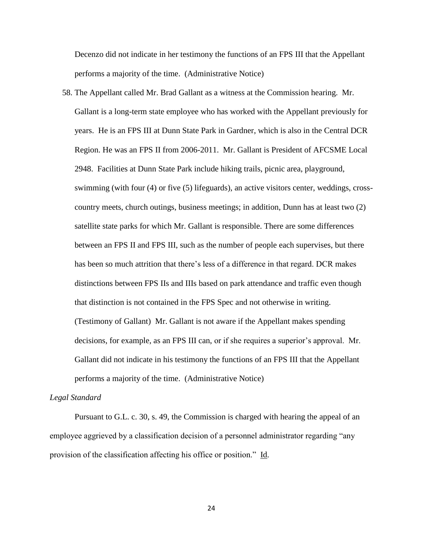Decenzo did not indicate in her testimony the functions of an FPS III that the Appellant performs a majority of the time. (Administrative Notice)

58. The Appellant called Mr. Brad Gallant as a witness at the Commission hearing. Mr. Gallant is a long-term state employee who has worked with the Appellant previously for years. He is an FPS III at Dunn State Park in Gardner, which is also in the Central DCR Region. He was an FPS II from 2006-2011. Mr. Gallant is President of AFCSME Local 2948. Facilities at Dunn State Park include hiking trails, picnic area, playground, swimming (with four (4) or five (5) lifeguards), an active visitors center, weddings, crosscountry meets, church outings, business meetings; in addition, Dunn has at least two (2) satellite state parks for which Mr. Gallant is responsible. There are some differences between an FPS II and FPS III, such as the number of people each supervises, but there has been so much attrition that there's less of a difference in that regard. DCR makes distinctions between FPS IIs and IIIs based on park attendance and traffic even though that distinction is not contained in the FPS Spec and not otherwise in writing. (Testimony of Gallant) Mr. Gallant is not aware if the Appellant makes spending decisions, for example, as an FPS III can, or if she requires a superior's approval. Mr. Gallant did not indicate in his testimony the functions of an FPS III that the Appellant performs a majority of the time. (Administrative Notice)

### *Legal Standard*

Pursuant to G.L. c. 30, s. 49, the Commission is charged with hearing the appeal of an employee aggrieved by a classification decision of a personnel administrator regarding "any provision of the classification affecting his office or position." Id.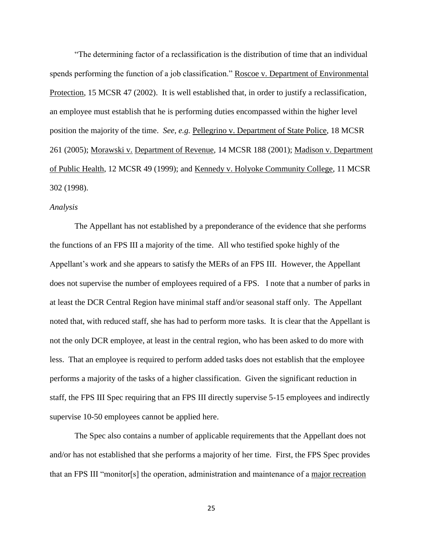"The determining factor of a reclassification is the distribution of time that an individual spends performing the function of a job classification." Roscoe v. Department of Environmental Protection, 15 MCSR 47 (2002). It is well established that, in order to justify a reclassification, an employee must establish that he is performing duties encompassed within the higher level position the majority of the time. *See, e.g.* Pellegrino v. Department of State Police, 18 MCSR 261 (2005); Morawski v. Department of Revenue, 14 MCSR 188 (2001); Madison v. Department of Public Health, 12 MCSR 49 (1999); and Kennedy v. Holyoke Community College, 11 MCSR 302 (1998).

## *Analysis*

The Appellant has not established by a preponderance of the evidence that she performs the functions of an FPS III a majority of the time. All who testified spoke highly of the Appellant's work and she appears to satisfy the MERs of an FPS III. However, the Appellant does not supervise the number of employees required of a FPS. I note that a number of parks in at least the DCR Central Region have minimal staff and/or seasonal staff only. The Appellant noted that, with reduced staff, she has had to perform more tasks. It is clear that the Appellant is not the only DCR employee, at least in the central region, who has been asked to do more with less. That an employee is required to perform added tasks does not establish that the employee performs a majority of the tasks of a higher classification. Given the significant reduction in staff, the FPS III Spec requiring that an FPS III directly supervise 5-15 employees and indirectly supervise 10-50 employees cannot be applied here.

The Spec also contains a number of applicable requirements that the Appellant does not and/or has not established that she performs a majority of her time. First, the FPS Spec provides that an FPS III "monitor[s] the operation, administration and maintenance of a major recreation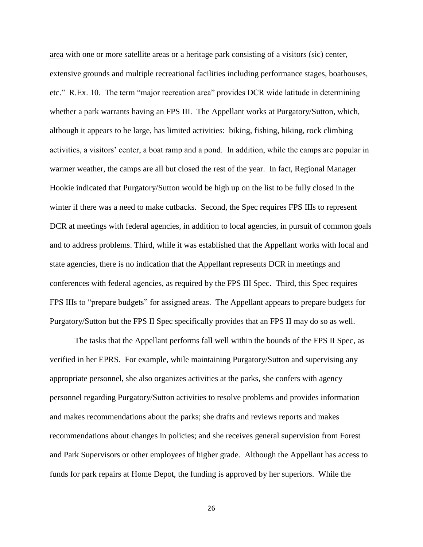area with one or more satellite areas or a heritage park consisting of a visitors (sic) center, extensive grounds and multiple recreational facilities including performance stages, boathouses, etc." R.Ex. 10. The term "major recreation area" provides DCR wide latitude in determining whether a park warrants having an FPS III. The Appellant works at Purgatory/Sutton, which, although it appears to be large, has limited activities: biking, fishing, hiking, rock climbing activities, a visitors' center, a boat ramp and a pond. In addition, while the camps are popular in warmer weather, the camps are all but closed the rest of the year. In fact, Regional Manager Hookie indicated that Purgatory/Sutton would be high up on the list to be fully closed in the winter if there was a need to make cutbacks. Second, the Spec requires FPS IIIs to represent DCR at meetings with federal agencies, in addition to local agencies, in pursuit of common goals and to address problems. Third, while it was established that the Appellant works with local and state agencies, there is no indication that the Appellant represents DCR in meetings and conferences with federal agencies, as required by the FPS III Spec. Third, this Spec requires FPS IIIs to "prepare budgets" for assigned areas. The Appellant appears to prepare budgets for Purgatory/Sutton but the FPS II Spec specifically provides that an FPS II may do so as well.

The tasks that the Appellant performs fall well within the bounds of the FPS II Spec, as verified in her EPRS. For example, while maintaining Purgatory/Sutton and supervising any appropriate personnel, she also organizes activities at the parks, she confers with agency personnel regarding Purgatory/Sutton activities to resolve problems and provides information and makes recommendations about the parks; she drafts and reviews reports and makes recommendations about changes in policies; and she receives general supervision from Forest and Park Supervisors or other employees of higher grade. Although the Appellant has access to funds for park repairs at Home Depot, the funding is approved by her superiors. While the